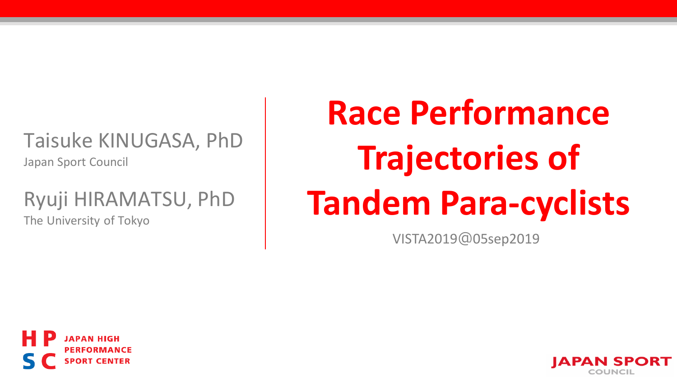## Taisuke KINUGASA, PhD

Japan Sport Council

### Ryuji HIRAMATSU, PhD

The University of Tokyo

# **Race Performance Trajectories of Tandem Para-cyclists**

VISTA2019@05sep2019



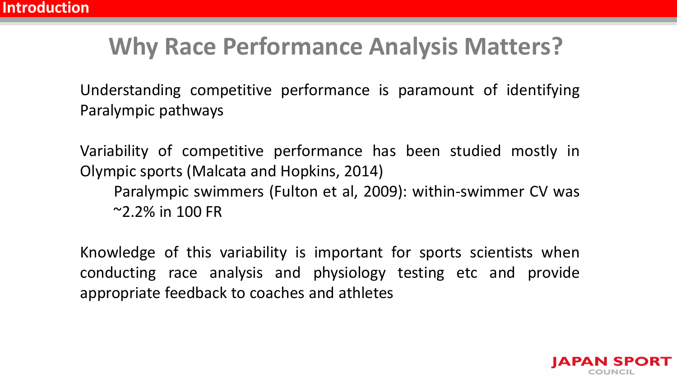# **Why Race Performance Analysis Matters?**

Understanding competitive performance is paramount of identifying Paralympic pathways

Variability of competitive performance has been studied mostly in Olympic sports (Malcata and Hopkins, 2014) Paralympic swimmers (Fulton et al, 2009): within-swimmer CV was  $^{\sim}$ 2.2% in 100 FR

Knowledge of this variability is important for sports scientists when conducting race analysis and physiology testing etc and provide appropriate feedback to coaches and athletes

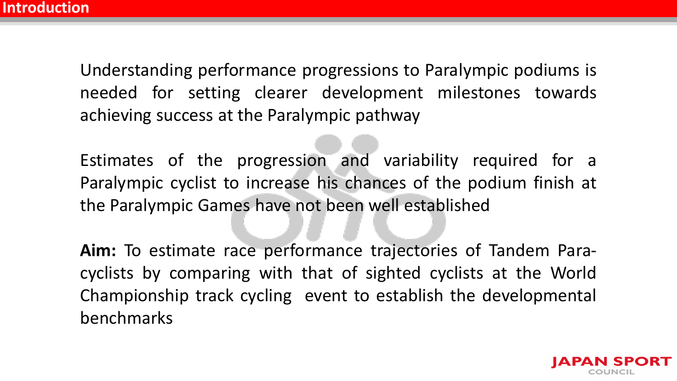Understanding performance progressions to Paralympic podiums is needed for setting clearer development milestones towards achieving success at the Paralympic pathway

Estimates of the progression and variability required for a Paralympic cyclist to increase his chances of the podium finish at the Paralympic Games have not been well established

**Aim:** To estimate race performance trajectories of Tandem Paracyclists by comparing with that of sighted cyclists at the World Championship track cycling event to establish the developmental benchmarks

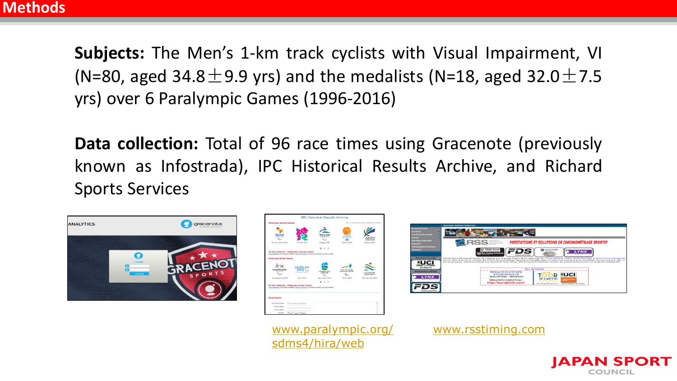**Subjects:** The Men's 1-km track cyclists with Visual Impairment, VI (N=80, aged 34.8 $\pm$ 9.9 yrs) and the medalists (N=18, aged 32.0 $\pm$ 7.5 yrs) over 6 Paralympic Games (1996-2016)

**Data collection:** Total of 96 race times using Gracenote (previously known as Infostrada), IPC Historical Results Archive, and Richard Sports Services



|                                |                                                                                                                                                     | <b>IPC Historical Results Archive</b>          |                                        |                                          |
|--------------------------------|-----------------------------------------------------------------------------------------------------------------------------------------------------|------------------------------------------------|----------------------------------------|------------------------------------------|
| <b>Paratimolo Summer Games</b> |                                                                                                                                                     | EROX in Garnes high to contrate the and mache- |                                        |                                          |
|                                |                                                                                                                                                     |                                                |                                        |                                          |
| $Q_{10}$ $2$ osh               |                                                                                                                                                     |                                                | <b>ATHENS AND</b><br><b>CONTRACTOR</b> | <br><b>GAMES A</b><br><b>STRAFT LEAR</b> |
| Rio de Janeiro 2006            | London 2012                                                                                                                                         | <b>Belling 2008</b>                            | Athene 2004                            | Sudney 2000                              |
|                                |                                                                                                                                                     |                                                |                                        |                                          |
|                                | All-Time Statistics - Paralympic Summer Games:<br>Multi-Nedatiata (winningest ethietes)   Modal Standings (boundles ranked by all-lime megani)      |                                                |                                        |                                          |
| Paratimolo Winter Garries      |                                                                                                                                                     |                                                |                                        |                                          |
| Pueang Chang 2018              | 500000                                                                                                                                              | <b>VANIDANEY (NEW)</b>                         | forms agos                             |                                          |
|                                | paintern price<br><b>STATISTICS</b>                                                                                                                 | <b><i>PERSONAL LIGHT</i></b><br>4.             |                                        | <b>SALE LABE DOME</b><br>FINE ADMINIST   |
| Pyeongchang 2018               | <b>Bricht 2014</b>                                                                                                                                  | <b>Viewiniance 2010</b>                        | Tickles 2006                           | Nett Lake City 2012                      |
|                                | All-Time Statistics - Paratemplo Winter Games:<br>SAID/Andellish (warehouse) attributed 1 Shippi, Standards (encorables ranked by adultion mechanic | $\sim$                                         |                                        |                                          |
| Paratymotions                  |                                                                                                                                                     |                                                |                                        |                                          |
| Pull Sent Search               | El converso reant-tirei.                                                                                                                            |                                                |                                        |                                          |
| Foreira Margar                 |                                                                                                                                                     |                                                |                                        |                                          |
| <b>Greate Market</b>           |                                                                                                                                                     |                                                |                                        |                                          |



[www.paralympic.org/](http://www.paralympic.org/sdms4/hira/web) [www.rsstiming.com](https://www.rsstiming.com/) sdms4/hira/web

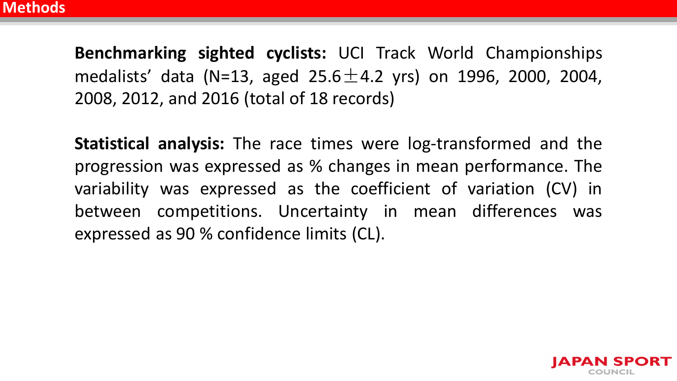**Benchmarking sighted cyclists:** UCI Track World Championships medalists' data (N=13, aged 25.6 $\pm$ 4.2 yrs) on 1996, 2000, 2004, 2008, 2012, and 2016 (total of 18 records)

**Statistical analysis:** The race times were log-transformed and the progression was expressed as % changes in mean performance. The variability was expressed as the coefficient of variation (CV) in between competitions. Uncertainty in mean differences was expressed as 90 % confidence limits (CL).

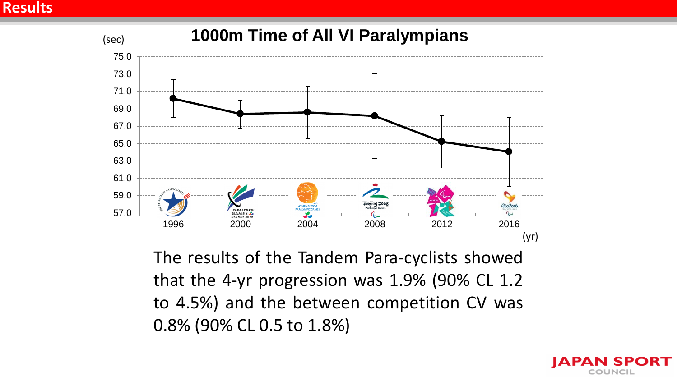#### **Results**



The results of the Tandem Para-cyclists showed that the 4-yr progression was 1.9% (90% CL 1.2 to 4.5%) and the between competition CV was 0.8% (90% CL 0.5 to 1.8%)

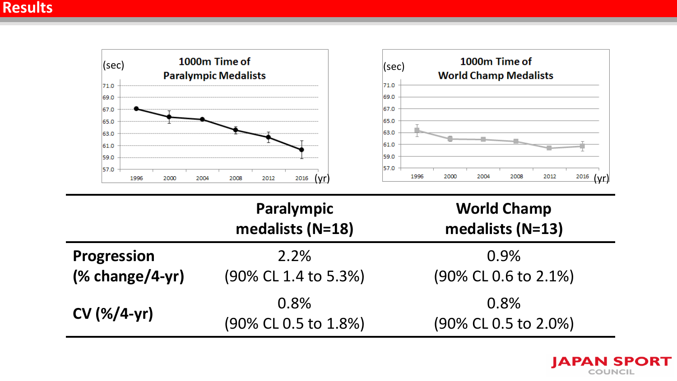

(90% CL 0.5 to 1.8%)



(90% CL 0.5 to 2.0%)